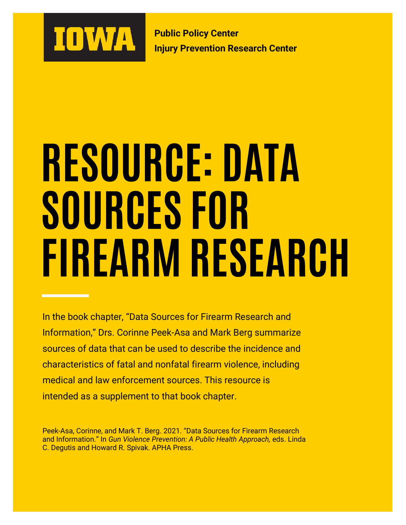

**Public Policy Center Injury Prevention Research Center**

# **RESOURCE: DATA SOURCES FOR FIREARM RESEARCH**

In the book chapter, "Data Sources for Firearm Research and Information," Drs. Corinne Peek-Asa and Mark Berg summarize sources of data that can be used to describe the incidence and characteristics of fatal and nonfatal firearm violence, including medical and law enforcement sources. This resource is intended as a supplement to that book chapter.

Peek-Asa, Corinne, and Mark T. Berg. 2021. "Data Sources for Firearm Research and Information." In *Gun Violence Prevention: A Public Health Approach,* eds. Linda C. Degutis and Howard R. Spivak. APHA Press.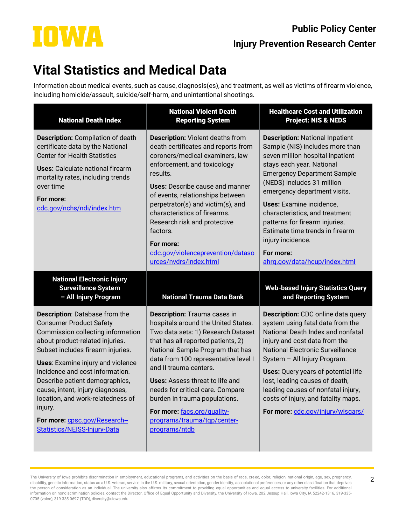# IOWA

#### **Public Policy Center Injury Prevention Research Center**

## **Vital Statistics and Medical Data**

Information about medical events, such as cause, diagnosis(es), and treatment, as well as victims of firearm violence, including homicide/assault, suicide/self-harm, and unintentional shootings.

| <b>National Death Index</b>                                                                                                                                                                                                                                                                                                 | <b>National Violent Death</b><br><b>Reporting System</b>                                                                                                                                                                                                                                                                                                                                                                                | <b>Healthcare Cost and Utilization</b><br><b>Project: NIS &amp; NEDS</b>                                                                                                                                                                                                                                                                                                                                                                                    |
|-----------------------------------------------------------------------------------------------------------------------------------------------------------------------------------------------------------------------------------------------------------------------------------------------------------------------------|-----------------------------------------------------------------------------------------------------------------------------------------------------------------------------------------------------------------------------------------------------------------------------------------------------------------------------------------------------------------------------------------------------------------------------------------|-------------------------------------------------------------------------------------------------------------------------------------------------------------------------------------------------------------------------------------------------------------------------------------------------------------------------------------------------------------------------------------------------------------------------------------------------------------|
| <b>Description:</b> Compilation of death<br>certificate data by the National<br><b>Center for Health Statistics</b><br><b>Uses:</b> Calculate national firearm<br>mortality rates, including trends<br>over time<br>For more:<br>cdc.gov/nchs/ndi/index.htm                                                                 | <b>Description: Violent deaths from</b><br>death certificates and reports from<br>coroners/medical examiners, law<br>enforcement, and toxicology<br>results.<br><b>Uses:</b> Describe cause and manner<br>of events, relationships between<br>perpetrator(s) and victim(s), and<br>characteristics of firearms.<br>Research risk and protective<br>factors.<br>For more:<br>cdc.gov/violenceprevention/dataso<br>urces/nvdrs/index.html | <b>Description: National Inpatient</b><br>Sample (NIS) includes more than<br>seven million hospital inpatient<br>stays each year. National<br><b>Emergency Department Sample</b><br>(NEDS) includes 31 million<br>emergency department visits.<br><b>Uses:</b> Examine incidence,<br>characteristics, and treatment<br>patterns for firearm injuries.<br>Estimate time trends in firearm<br>injury incidence.<br>For more:<br>ahrg.gov/data/hcup/index.html |
| <b>National Electronic Injury</b><br><b>Surveillance System</b><br>- All Injury Program                                                                                                                                                                                                                                     | <b>National Trauma Data Bank</b>                                                                                                                                                                                                                                                                                                                                                                                                        | <b>Web-based Injury Statistics Query</b><br>and Reporting System                                                                                                                                                                                                                                                                                                                                                                                            |
| Description: Database from the<br><b>Consumer Product Safety</b><br>Commission collecting information<br>about product-related injuries.<br>Subset includes firearm injuries.<br>Uses: Examine injury and violence<br>incidence and cost information.<br>Describe patient demographics,<br>cause, intent, injury diagnoses, | Description: Trauma cases in<br>hospitals around the United States.<br>Two data sets: 1) Research Dataset<br>that has all reported patients, 2)<br>National Sample Program that has<br>data from 100 representative level I<br>and II trauma centers.                                                                                                                                                                                   | <b>Description:</b> CDC online data query<br>system using fatal data from the<br>National Death Index and nonfatal<br>injury and cost data from the<br><b>National Electronic Surveillance</b><br>System - All Injury Program.<br><b>Uses:</b> Query years of potential life                                                                                                                                                                                |

The University of Iowa prohibits discrimination in employment, educational programs, and activities on the basis of race, creed, color, religion, national origin, age, sex, pregnancy, disability, genetic information, status as a U.S. veteran, service in the U.S. military, sexual orientation, gender identity, associational preferences, or any other classification that deprives the person of consideration as an individual. The university also affirms its commitment to providing equal opportunities and equal access to university facilities. For additional information on nondiscrimination policies, contact the Director, Office of Equal Opportunity and Diversity, the University of Iowa, 202 Jessup Hall, Iowa City, IA 52242-1316, 319-335- 0705 (voice), 319-335-0697 (TDD), diversity@uiowa.edu.